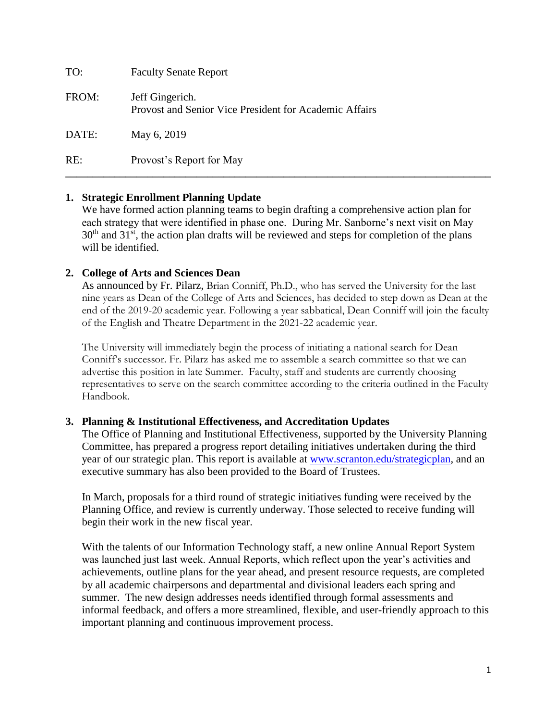| TO:   | <b>Faculty Senate Report</b>                                              |
|-------|---------------------------------------------------------------------------|
| FROM: | Jeff Gingerich.<br>Provost and Senior Vice President for Academic Affairs |
| DATE: | May 6, 2019                                                               |
| RE:   | Provost's Report for May                                                  |

## **1. Strategic Enrollment Planning Update**

We have formed action planning teams to begin drafting a comprehensive action plan for each strategy that were identified in phase one. During Mr. Sanborne's next visit on May  $30<sup>th</sup>$  and  $31<sup>st</sup>$ , the action plan drafts will be reviewed and steps for completion of the plans will be identified.

#### **2. College of Arts and Sciences Dean**

As announced by Fr. Pilarz, Brian Conniff, Ph.D., who has served the University for the last nine years as Dean of the College of Arts and Sciences, has decided to step down as Dean at the end of the 2019-20 academic year. Following a year sabbatical, Dean Conniff will join the faculty of the English and Theatre Department in the 2021-22 academic year.

The University will immediately begin the process of initiating a national search for Dean Conniff's successor. Fr. Pilarz has asked me to assemble a search committee so that we can advertise this position in late Summer. Faculty, staff and students are currently choosing representatives to serve on the search committee according to the criteria outlined in the Faculty Handbook.

#### **3. Planning & Institutional Effectiveness, and Accreditation Updates**

The Office of Planning and Institutional Effectiveness, supported by the University Planning Committee, has prepared a progress report detailing initiatives undertaken during the third year of our strategic plan. This report is available at [www.scranton.edu/strategicplan,](http://www.scranton.edu/strategicplan) and an executive summary has also been provided to the Board of Trustees.

In March, proposals for a third round of strategic initiatives funding were received by the Planning Office, and review is currently underway. Those selected to receive funding will begin their work in the new fiscal year.

With the talents of our Information Technology staff, a new online Annual Report System was launched just last week. Annual Reports, which reflect upon the year's activities and achievements, outline plans for the year ahead, and present resource requests, are completed by all academic chairpersons and departmental and divisional leaders each spring and summer. The new design addresses needs identified through formal assessments and informal feedback, and offers a more streamlined, flexible, and user-friendly approach to this important planning and continuous improvement process.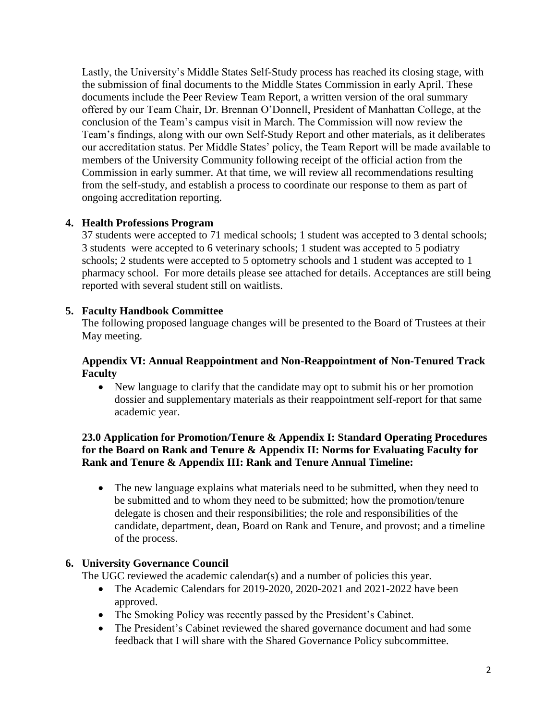Lastly, the University's Middle States Self-Study process has reached its closing stage, with the submission of final documents to the Middle States Commission in early April. These documents include the Peer Review Team Report, a written version of the oral summary offered by our Team Chair, Dr. Brennan O'Donnell, President of Manhattan College, at the conclusion of the Team's campus visit in March. The Commission will now review the Team's findings, along with our own Self-Study Report and other materials, as it deliberates our accreditation status. Per Middle States' policy, the Team Report will be made available to members of the University Community following receipt of the official action from the Commission in early summer. At that time, we will review all recommendations resulting from the self-study, and establish a process to coordinate our response to them as part of ongoing accreditation reporting.

# **4. Health Professions Program**

37 students were accepted to 71 medical schools; 1 student was accepted to 3 dental schools; 3 students were accepted to 6 veterinary schools; 1 student was accepted to 5 podiatry schools; 2 students were accepted to 5 optometry schools and 1 student was accepted to 1 pharmacy school. For more details please see attached for details. Acceptances are still being reported with several student still on waitlists.

# **5. Faculty Handbook Committee**

The following proposed language changes will be presented to the Board of Trustees at their May meeting.

## **Appendix VI: Annual Reappointment and Non-Reappointment of Non-Tenured Track Faculty**

 New language to clarify that the candidate may opt to submit his or her promotion dossier and supplementary materials as their reappointment self-report for that same academic year.

### **23.0 Application for Promotion/Tenure & Appendix I: Standard Operating Procedures for the Board on Rank and Tenure & Appendix II: Norms for Evaluating Faculty for Rank and Tenure & Appendix III: Rank and Tenure Annual Timeline:**

• The new language explains what materials need to be submitted, when they need to be submitted and to whom they need to be submitted; how the promotion/tenure delegate is chosen and their responsibilities; the role and responsibilities of the candidate, department, dean, Board on Rank and Tenure, and provost; and a timeline of the process.

## **6. University Governance Council**

The UGC reviewed the academic calendar(s) and a number of policies this year.

- The Academic Calendars for 2019-2020, 2020-2021 and 2021-2022 have been approved.
- The Smoking Policy was recently passed by the President's Cabinet.
- The President's Cabinet reviewed the shared governance document and had some feedback that I will share with the Shared Governance Policy subcommittee.